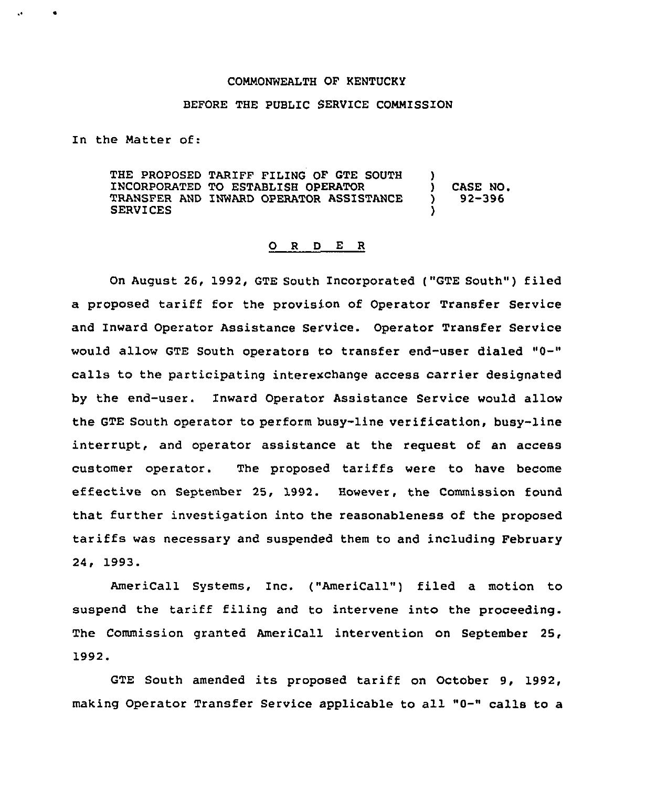## COMMONWEALTH OF KENTUCKY

## BEFORE THE PUBLIC SERVICE COMMISSION

In the Natter of:

THE PROPOSED TARIFF FILING OF GTE SOUTH )<br>INCORPORATED TO ESTABLISH OPERATOR INCORPORATED TO ESTABLISH OPERATOR (2008) CASE NO.<br>TRANSFER AND INWARD OPERATOR ASSISTANCE (2008) TRANSFER AND INWARD OPERATOR ASSISTANCE **SERVICES** 

## 0 <sup>R</sup> <sup>D</sup> E <sup>R</sup>

On August 26, 1992, GTE South Incorporated ("GTE South") filed a proposed tariff for the provision of Operator Transfer Service and Inward Operator Assistance Service. Operator Transfer Service would allow GTE South operators to transfer end-user dialed "0-" calls to the participating interexchange access carrier designated by the end-user. Inward Operator Assistance Service would allow the GTE South operator to perform busy-line verification, busy-line interrupt, and operator assistance at the request of an access customer operator. The proposed tariffs were to have become effective on September 25, 1992. However, the Commission found that further investigation into the reasonableness of the proposed tariffs was necessary and suspended them to and including February 24, 1993.

AmeriCall Systems, Inc. ("AmeriCall") filed a motion to suspend the tariff filing and to intervene into the proceeding. The Commission granted AmeriCall intervention on September 25, 1992.

GTE South amended its proposed tariff on October 9, 1992, making Operator Transfer Service applicable to all "0-" calls to <sup>a</sup>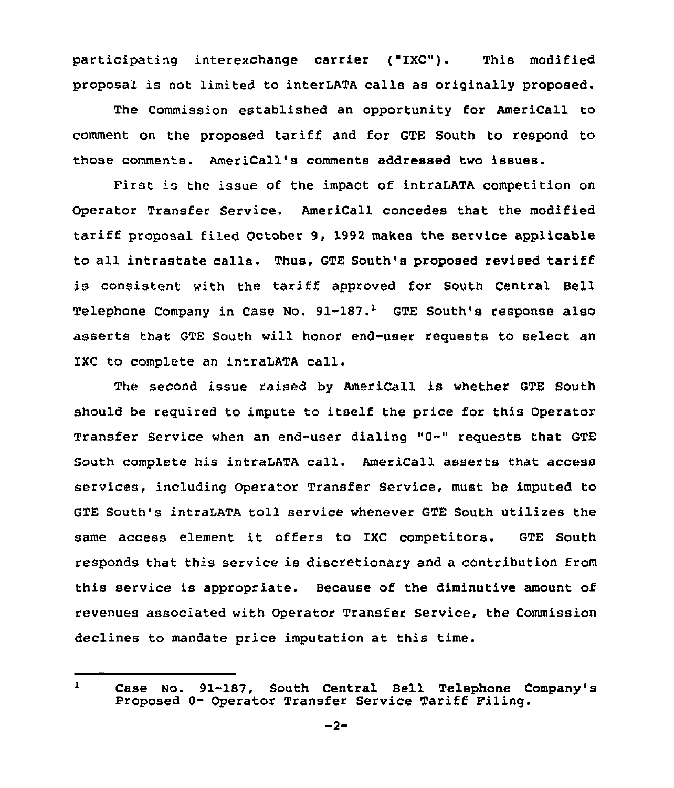participating interexchange carrier ("IXC"). This modified proposal is not limited to interLATA calls as originally proposed.

The Commission established an opportunity for AmeriCall to comment on the proposed tariff and for GTE South to respond to those comments. AmeriCall's comments addressed two issues.

First is the issue of the impact of intraLATA competition on Operator Transfer Service. AmeriCall concedes that the modified tariff proposal filed October 9, 1992 makes the service applicable to all intrastate calls. Thus, GTE South's proposed revised tariff is consistent with the tariff approved for South Central Bell Telephone Company in Case No.  $91-187.$ <sup>1</sup> GTE South's response also asserts that GTE South will honor end-user requests to select an IXC to complete an intraLATA call.

The second issue raised by AmeriCall is whether GTE South should be required to impute to itself the price for this Operator Transfer Service when an end-user dialing "0-" requests that GTE South complete his intraLATA call. AmeriCall asserts that access services, including operator Transfer service, must be imputed to GTE South's intraLATA toll service whenever GTE South utilixes the same access element it offers to IXC competitors. GTE South responds that this service is discretionary and a contribution from this service is appropriate. Because of the diminutive amount of revenues associated with Operator Transfer Service, the Commission declines to mandate price imputation at this time.

 $\mathbf{L}$ Case No. 91-187, South Central Bell Telephone Company's Proposed 0- Operator Transfer Service Tariff Filing.